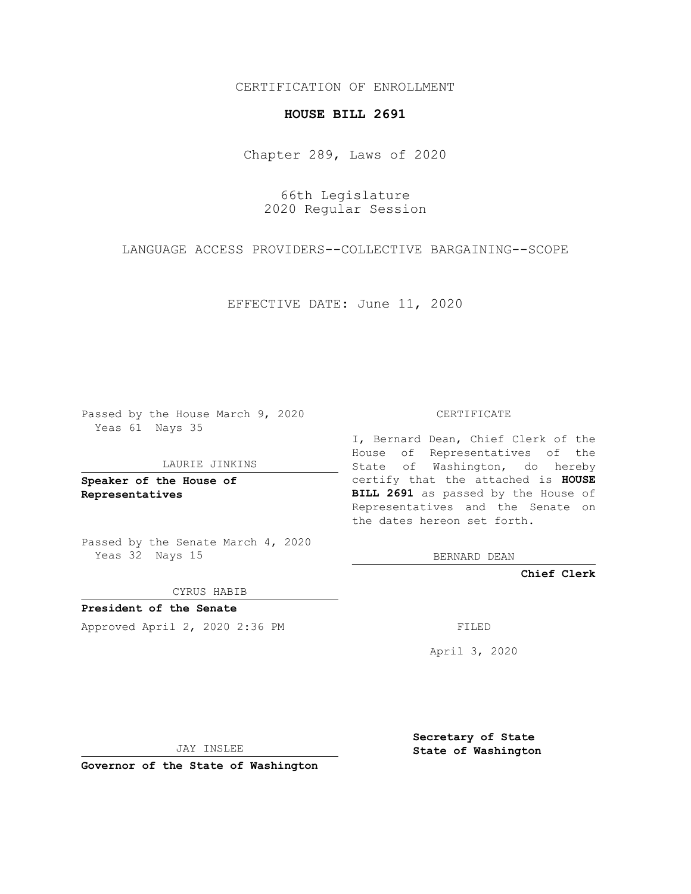CERTIFICATION OF ENROLLMENT

## **HOUSE BILL 2691**

Chapter 289, Laws of 2020

66th Legislature 2020 Regular Session

LANGUAGE ACCESS PROVIDERS--COLLECTIVE BARGAINING--SCOPE

EFFECTIVE DATE: June 11, 2020

Passed by the House March 9, 2020 Yeas 61 Nays 35

LAURIE JINKINS

**Speaker of the House of Representatives**

Passed by the Senate March 4, 2020 Yeas 32 Nays 15

CYRUS HABIB

**President of the Senate** Approved April 2, 2020 2:36 PM

CERTIFICATE

I, Bernard Dean, Chief Clerk of the House of Representatives of the State of Washington, do hereby certify that the attached is **HOUSE BILL 2691** as passed by the House of Representatives and the Senate on the dates hereon set forth.

BERNARD DEAN

**Chief Clerk**

April 3, 2020

JAY INSLEE

**Governor of the State of Washington**

**Secretary of State State of Washington**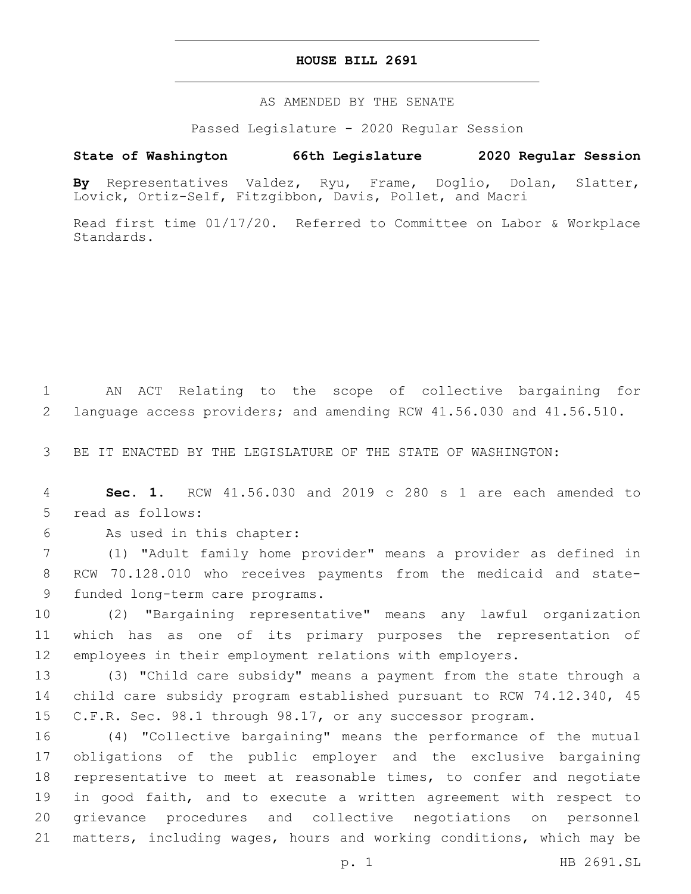## **HOUSE BILL 2691**

AS AMENDED BY THE SENATE

Passed Legislature - 2020 Regular Session

## **State of Washington 66th Legislature 2020 Regular Session**

**By** Representatives Valdez, Ryu, Frame, Doglio, Dolan, Slatter, Lovick, Ortiz-Self, Fitzgibbon, Davis, Pollet, and Macri

Read first time 01/17/20. Referred to Committee on Labor & Workplace Standards.

1 AN ACT Relating to the scope of collective bargaining for 2 language access providers; and amending RCW 41.56.030 and 41.56.510.

3 BE IT ENACTED BY THE LEGISLATURE OF THE STATE OF WASHINGTON:

4 **Sec. 1.** RCW 41.56.030 and 2019 c 280 s 1 are each amended to 5 read as follows:

6 As used in this chapter:

7 (1) "Adult family home provider" means a provider as defined in 8 RCW 70.128.010 who receives payments from the medicaid and state-9 funded long-term care programs.

10 (2) "Bargaining representative" means any lawful organization 11 which has as one of its primary purposes the representation of 12 employees in their employment relations with employers.

13 (3) "Child care subsidy" means a payment from the state through a 14 child care subsidy program established pursuant to RCW 74.12.340, 45 15 C.F.R. Sec. 98.1 through 98.17, or any successor program.

 (4) "Collective bargaining" means the performance of the mutual obligations of the public employer and the exclusive bargaining representative to meet at reasonable times, to confer and negotiate in good faith, and to execute a written agreement with respect to grievance procedures and collective negotiations on personnel matters, including wages, hours and working conditions, which may be

p. 1 HB 2691.SL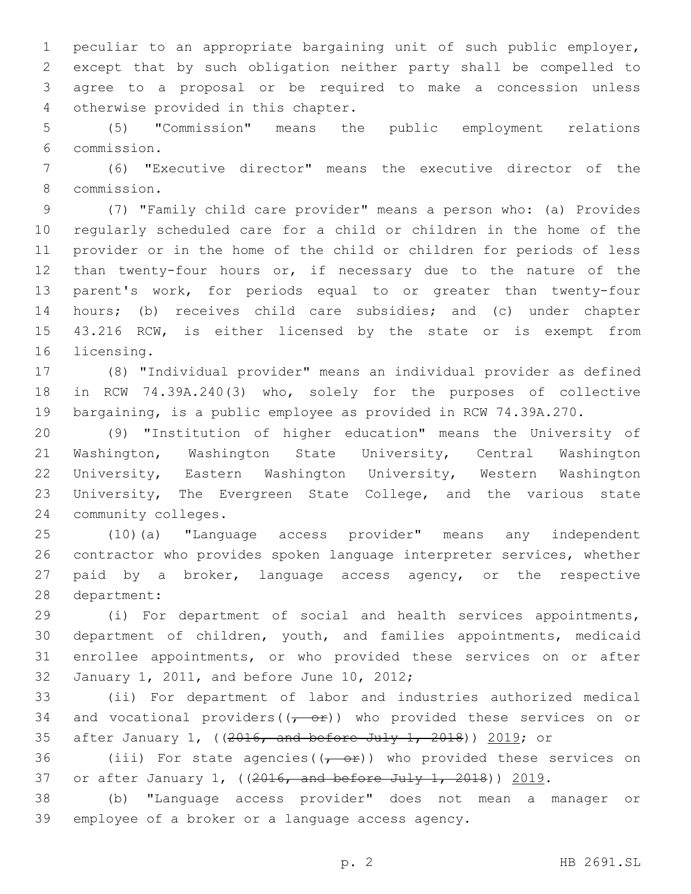peculiar to an appropriate bargaining unit of such public employer, except that by such obligation neither party shall be compelled to agree to a proposal or be required to make a concession unless 4 otherwise provided in this chapter.

 (5) "Commission" means the public employment relations commission.6

 (6) "Executive director" means the executive director of the commission.8

 (7) "Family child care provider" means a person who: (a) Provides regularly scheduled care for a child or children in the home of the provider or in the home of the child or children for periods of less than twenty-four hours or, if necessary due to the nature of the parent's work, for periods equal to or greater than twenty-four hours; (b) receives child care subsidies; and (c) under chapter 43.216 RCW, is either licensed by the state or is exempt from 16 licensing.

 (8) "Individual provider" means an individual provider as defined in RCW 74.39A.240(3) who, solely for the purposes of collective bargaining, is a public employee as provided in RCW 74.39A.270.

 (9) "Institution of higher education" means the University of Washington, Washington State University, Central Washington University, Eastern Washington University, Western Washington University, The Evergreen State College, and the various state 24 community colleges.

 (10)(a) "Language access provider" means any independent contractor who provides spoken language interpreter services, whether paid by a broker, language access agency, or the respective 28 department:

 (i) For department of social and health services appointments, department of children, youth, and families appointments, medicaid enrollee appointments, or who provided these services on or after 32 January 1, 2011, and before June 10, 2012;

 (ii) For department of labor and industries authorized medical 34 and vocational providers( $(-e^{\theta t})$ ) who provided these services on or after January 1, ((2016, and before July 1, 2018)) 2019; or

36 (iii) For state agencies( $(-e^{\pm})$ ) who provided these services on or after January 1, ((2016, and before July 1, 2018)) 2019.

 (b) "Language access provider" does not mean a manager or 39 employee of a broker or a language access agency.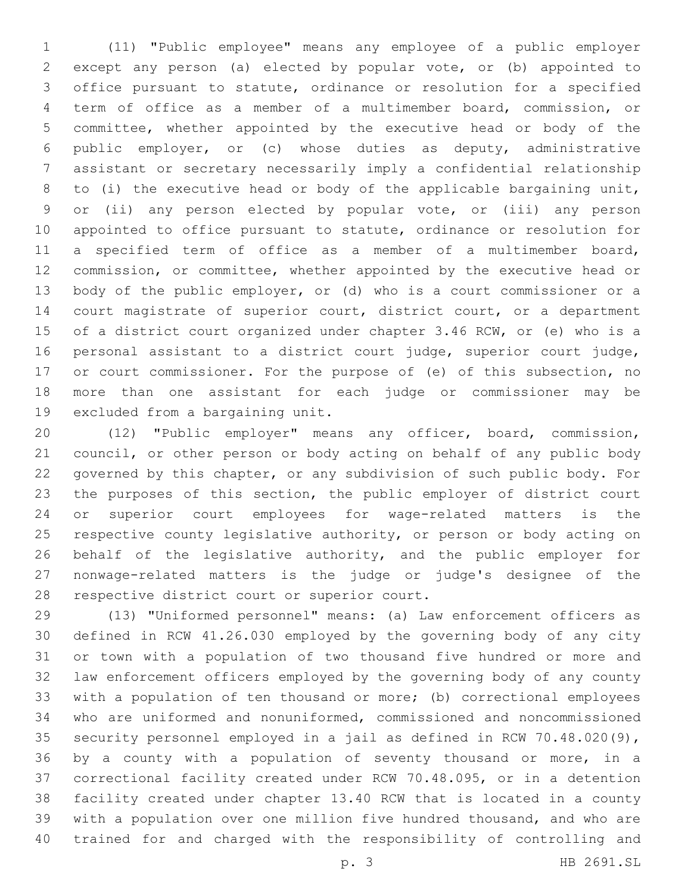(11) "Public employee" means any employee of a public employer except any person (a) elected by popular vote, or (b) appointed to office pursuant to statute, ordinance or resolution for a specified term of office as a member of a multimember board, commission, or committee, whether appointed by the executive head or body of the public employer, or (c) whose duties as deputy, administrative assistant or secretary necessarily imply a confidential relationship to (i) the executive head or body of the applicable bargaining unit, or (ii) any person elected by popular vote, or (iii) any person appointed to office pursuant to statute, ordinance or resolution for a specified term of office as a member of a multimember board, commission, or committee, whether appointed by the executive head or body of the public employer, or (d) who is a court commissioner or a court magistrate of superior court, district court, or a department of a district court organized under chapter 3.46 RCW, or (e) who is a personal assistant to a district court judge, superior court judge, or court commissioner. For the purpose of (e) of this subsection, no more than one assistant for each judge or commissioner may be 19 excluded from a bargaining unit.

 (12) "Public employer" means any officer, board, commission, council, or other person or body acting on behalf of any public body governed by this chapter, or any subdivision of such public body. For the purposes of this section, the public employer of district court or superior court employees for wage-related matters is the respective county legislative authority, or person or body acting on 26 behalf of the legislative authority, and the public employer for nonwage-related matters is the judge or judge's designee of the 28 respective district court or superior court.

 (13) "Uniformed personnel" means: (a) Law enforcement officers as defined in RCW 41.26.030 employed by the governing body of any city or town with a population of two thousand five hundred or more and law enforcement officers employed by the governing body of any county with a population of ten thousand or more; (b) correctional employees who are uniformed and nonuniformed, commissioned and noncommissioned security personnel employed in a jail as defined in RCW 70.48.020(9), by a county with a population of seventy thousand or more, in a correctional facility created under RCW 70.48.095, or in a detention facility created under chapter 13.40 RCW that is located in a county with a population over one million five hundred thousand, and who are trained for and charged with the responsibility of controlling and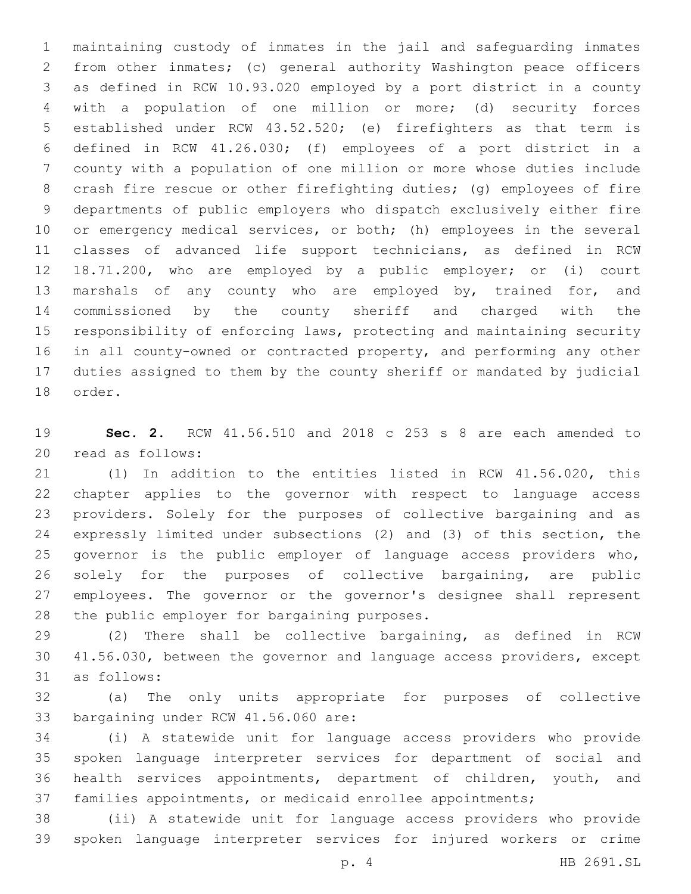maintaining custody of inmates in the jail and safeguarding inmates from other inmates; (c) general authority Washington peace officers as defined in RCW 10.93.020 employed by a port district in a county with a population of one million or more; (d) security forces established under RCW 43.52.520; (e) firefighters as that term is defined in RCW 41.26.030; (f) employees of a port district in a county with a population of one million or more whose duties include crash fire rescue or other firefighting duties; (g) employees of fire departments of public employers who dispatch exclusively either fire or emergency medical services, or both; (h) employees in the several classes of advanced life support technicians, as defined in RCW 18.71.200, who are employed by a public employer; or (i) court marshals of any county who are employed by, trained for, and commissioned by the county sheriff and charged with the responsibility of enforcing laws, protecting and maintaining security in all county-owned or contracted property, and performing any other duties assigned to them by the county sheriff or mandated by judicial 18 order.

 **Sec. 2.** RCW 41.56.510 and 2018 c 253 s 8 are each amended to 20 read as follows:

 (1) In addition to the entities listed in RCW 41.56.020, this chapter applies to the governor with respect to language access providers. Solely for the purposes of collective bargaining and as expressly limited under subsections (2) and (3) of this section, the governor is the public employer of language access providers who, solely for the purposes of collective bargaining, are public employees. The governor or the governor's designee shall represent 28 the public employer for bargaining purposes.

 (2) There shall be collective bargaining, as defined in RCW 41.56.030, between the governor and language access providers, except 31 as follows:

 (a) The only units appropriate for purposes of collective 33 bargaining under RCW 41.56.060 are:

 (i) A statewide unit for language access providers who provide spoken language interpreter services for department of social and health services appointments, department of children, youth, and families appointments, or medicaid enrollee appointments;

 (ii) A statewide unit for language access providers who provide spoken language interpreter services for injured workers or crime

p. 4 HB 2691.SL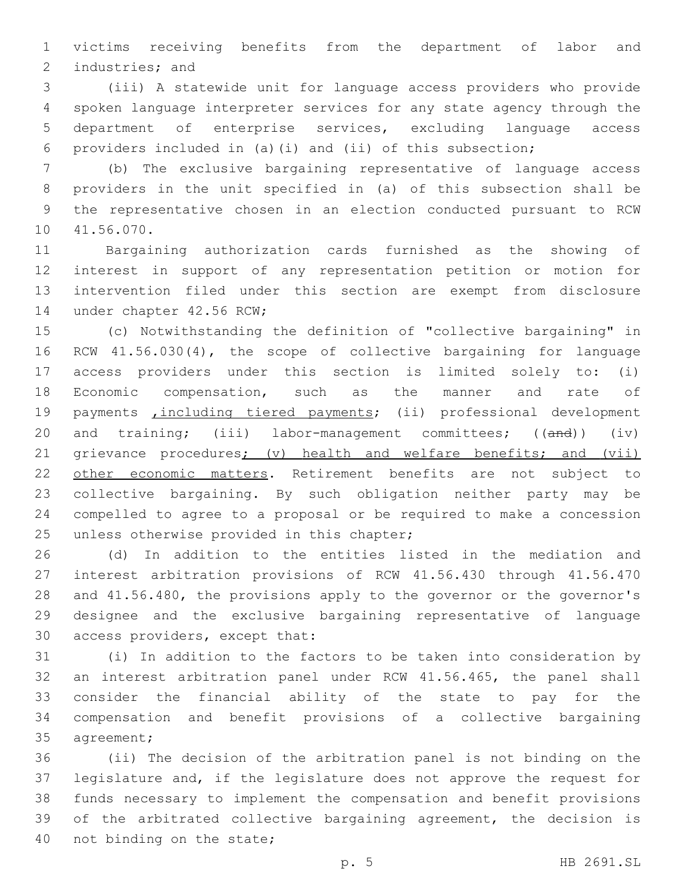victims receiving benefits from the department of labor and 2 industries; and

 (iii) A statewide unit for language access providers who provide spoken language interpreter services for any state agency through the department of enterprise services, excluding language access providers included in (a)(i) and (ii) of this subsection;

 (b) The exclusive bargaining representative of language access providers in the unit specified in (a) of this subsection shall be the representative chosen in an election conducted pursuant to RCW 10 41.56.070.

 Bargaining authorization cards furnished as the showing of interest in support of any representation petition or motion for intervention filed under this section are exempt from disclosure 14 under chapter 42.56 RCW;

 (c) Notwithstanding the definition of "collective bargaining" in RCW 41.56.030(4), the scope of collective bargaining for language access providers under this section is limited solely to: (i) Economic compensation, such as the manner and rate of 19 payments *including tiered payments;* (ii) professional development 20 and training; (iii) labor-management committees; ((and)) (iv) 21 grievance procedures; (v) health and welfare benefits; and (vii) 22 other economic matters. Retirement benefits are not subject to collective bargaining. By such obligation neither party may be compelled to agree to a proposal or be required to make a concession 25 unless otherwise provided in this chapter;

 (d) In addition to the entities listed in the mediation and interest arbitration provisions of RCW 41.56.430 through 41.56.470 and 41.56.480, the provisions apply to the governor or the governor's designee and the exclusive bargaining representative of language 30 access providers, except that:

 (i) In addition to the factors to be taken into consideration by an interest arbitration panel under RCW 41.56.465, the panel shall consider the financial ability of the state to pay for the compensation and benefit provisions of a collective bargaining 35 agreement;

 (ii) The decision of the arbitration panel is not binding on the legislature and, if the legislature does not approve the request for funds necessary to implement the compensation and benefit provisions of the arbitrated collective bargaining agreement, the decision is 40 not binding on the state;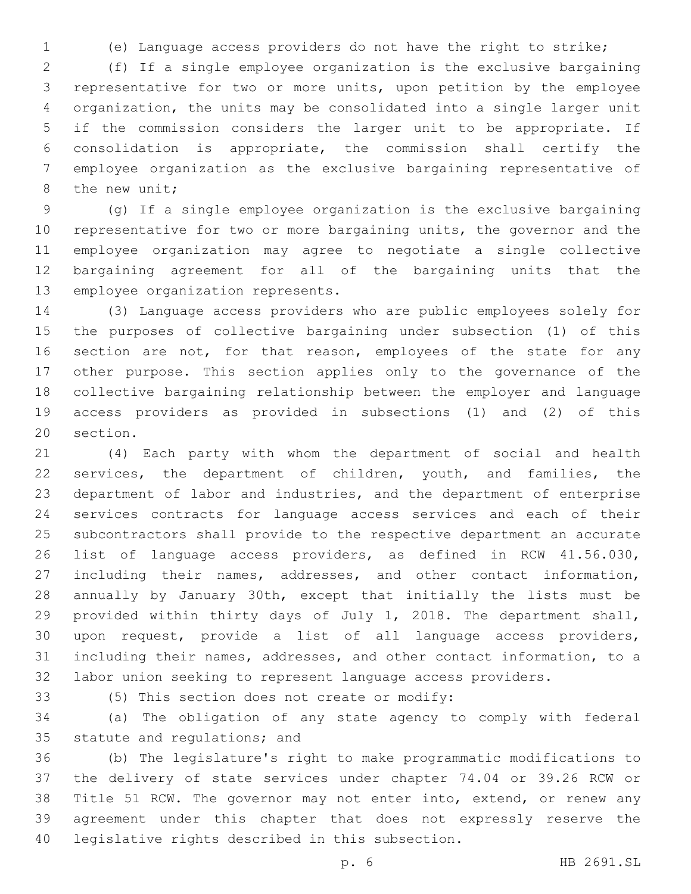(e) Language access providers do not have the right to strike;

 (f) If a single employee organization is the exclusive bargaining representative for two or more units, upon petition by the employee organization, the units may be consolidated into a single larger unit if the commission considers the larger unit to be appropriate. If consolidation is appropriate, the commission shall certify the employee organization as the exclusive bargaining representative of 8 the new unit;

 (g) If a single employee organization is the exclusive bargaining representative for two or more bargaining units, the governor and the employee organization may agree to negotiate a single collective bargaining agreement for all of the bargaining units that the 13 employee organization represents.

 (3) Language access providers who are public employees solely for the purposes of collective bargaining under subsection (1) of this 16 section are not, for that reason, employees of the state for any other purpose. This section applies only to the governance of the collective bargaining relationship between the employer and language access providers as provided in subsections (1) and (2) of this 20 section.

 (4) Each party with whom the department of social and health services, the department of children, youth, and families, the department of labor and industries, and the department of enterprise services contracts for language access services and each of their subcontractors shall provide to the respective department an accurate list of language access providers, as defined in RCW 41.56.030, including their names, addresses, and other contact information, annually by January 30th, except that initially the lists must be provided within thirty days of July 1, 2018. The department shall, upon request, provide a list of all language access providers, including their names, addresses, and other contact information, to a labor union seeking to represent language access providers.

(5) This section does not create or modify:33

 (a) The obligation of any state agency to comply with federal 35 statute and regulations; and

 (b) The legislature's right to make programmatic modifications to the delivery of state services under chapter 74.04 or 39.26 RCW or Title 51 RCW. The governor may not enter into, extend, or renew any agreement under this chapter that does not expressly reserve the 40 legislative rights described in this subsection.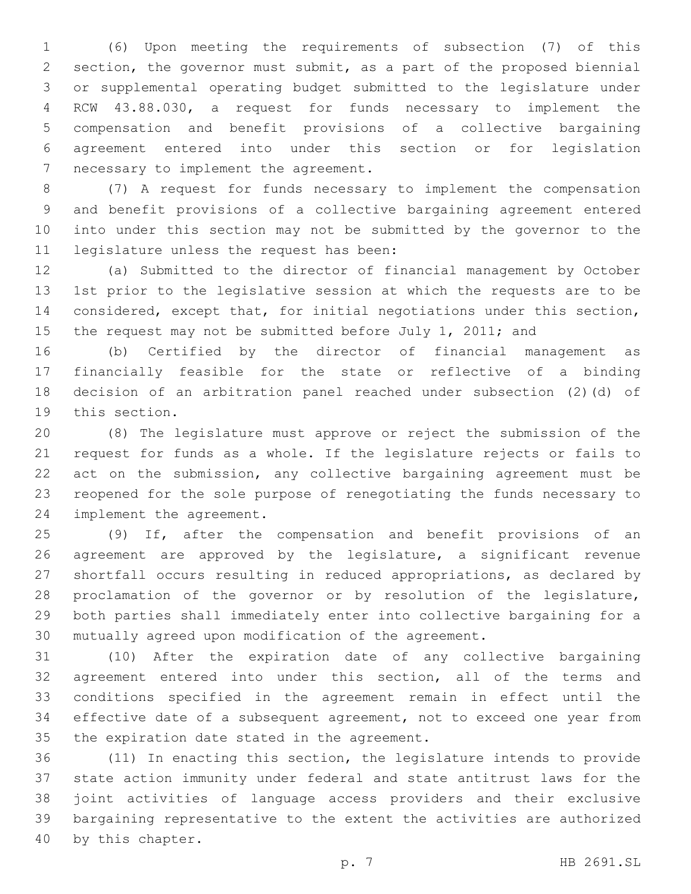(6) Upon meeting the requirements of subsection (7) of this section, the governor must submit, as a part of the proposed biennial or supplemental operating budget submitted to the legislature under RCW 43.88.030, a request for funds necessary to implement the compensation and benefit provisions of a collective bargaining agreement entered into under this section or for legislation 7 necessary to implement the agreement.

 (7) A request for funds necessary to implement the compensation and benefit provisions of a collective bargaining agreement entered into under this section may not be submitted by the governor to the 11 legislature unless the request has been:

 (a) Submitted to the director of financial management by October 1st prior to the legislative session at which the requests are to be considered, except that, for initial negotiations under this section, 15 the request may not be submitted before July 1, 2011; and

 (b) Certified by the director of financial management as financially feasible for the state or reflective of a binding decision of an arbitration panel reached under subsection (2)(d) of 19 this section.

 (8) The legislature must approve or reject the submission of the request for funds as a whole. If the legislature rejects or fails to 22 act on the submission, any collective bargaining agreement must be reopened for the sole purpose of renegotiating the funds necessary to 24 implement the agreement.

 (9) If, after the compensation and benefit provisions of an agreement are approved by the legislature, a significant revenue shortfall occurs resulting in reduced appropriations, as declared by proclamation of the governor or by resolution of the legislature, both parties shall immediately enter into collective bargaining for a mutually agreed upon modification of the agreement.

 (10) After the expiration date of any collective bargaining agreement entered into under this section, all of the terms and conditions specified in the agreement remain in effect until the effective date of a subsequent agreement, not to exceed one year from 35 the expiration date stated in the agreement.

 (11) In enacting this section, the legislature intends to provide state action immunity under federal and state antitrust laws for the joint activities of language access providers and their exclusive bargaining representative to the extent the activities are authorized 40 by this chapter.